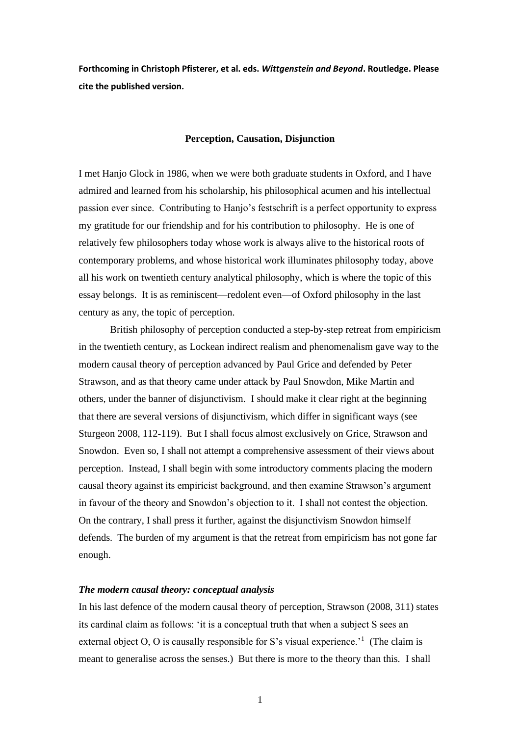**Forthcoming in Christoph Pfisterer, et al. eds.** *Wittgenstein and Beyond***. Routledge. Please cite the published version.**

# **Perception, Causation, Disjunction**

I met Hanjo Glock in 1986, when we were both graduate students in Oxford, and I have admired and learned from his scholarship, his philosophical acumen and his intellectual passion ever since. Contributing to Hanjo's festschrift is a perfect opportunity to express my gratitude for our friendship and for his contribution to philosophy. He is one of relatively few philosophers today whose work is always alive to the historical roots of contemporary problems, and whose historical work illuminates philosophy today, above all his work on twentieth century analytical philosophy, which is where the topic of this essay belongs. Ιt is as reminiscent—redolent even—of Oxford philosophy in the last century as any, the topic of perception.

British philosophy of perception conducted a step-by-step retreat from empiricism in the twentieth century, as Lockean indirect realism and phenomenalism gave way to the modern causal theory of perception advanced by Paul Grice and defended by Peter Strawson, and as that theory came under attack by Paul Snowdon, Mike Martin and others, under the banner of disjunctivism. I should make it clear right at the beginning that there are several versions of disjunctivism, which differ in significant ways (see Sturgeon 2008, 112-119). But I shall focus almost exclusively on Grice, Strawson and Snowdon. Even so, I shall not attempt a comprehensive assessment of their views about perception. Instead, I shall begin with some introductory comments placing the modern causal theory against its empiricist background, and then examine Strawson's argument in favour of the theory and Snowdon's objection to it. I shall not contest the objection. On the contrary, I shall press it further, against the disjunctivism Snowdon himself defends. The burden of my argument is that the retreat from empiricism has not gone far enough.

# *The modern causal theory: conceptual analysis*

In his last defence of the modern causal theory of perception, Strawson (2008, 311) states its cardinal claim as follows: 'it is a conceptual truth that when a subject S sees an external object O, O is causally responsible for S's visual experience.<sup>'1</sup> (The claim is meant to generalise across the senses.) But there is more to the theory than this. I shall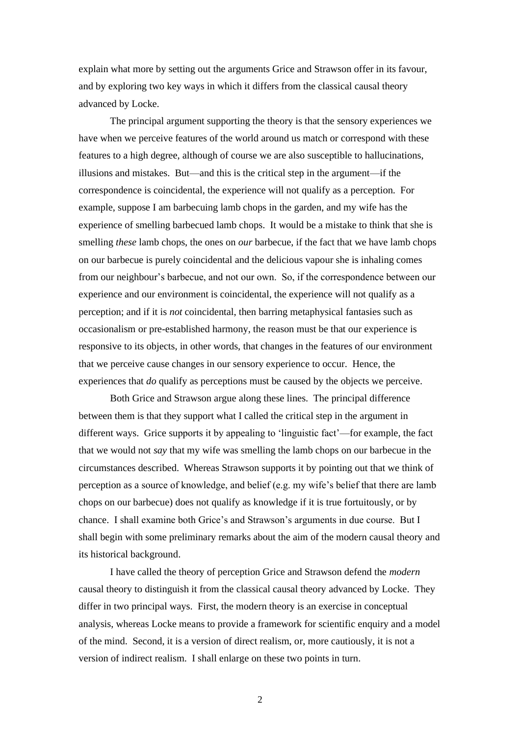explain what more by setting out the arguments Grice and Strawson offer in its favour, and by exploring two key ways in which it differs from the classical causal theory advanced by Locke.

The principal argument supporting the theory is that the sensory experiences we have when we perceive features of the world around us match or correspond with these features to a high degree, although of course we are also susceptible to hallucinations, illusions and mistakes. But—and this is the critical step in the argument—if the correspondence is coincidental, the experience will not qualify as a perception. For example, suppose I am barbecuing lamb chops in the garden, and my wife has the experience of smelling barbecued lamb chops. It would be a mistake to think that she is smelling *these* lamb chops, the ones on *our* barbecue, if the fact that we have lamb chops on our barbecue is purely coincidental and the delicious vapour she is inhaling comes from our neighbour's barbecue, and not our own. So, if the correspondence between our experience and our environment is coincidental, the experience will not qualify as a perception; and if it is *not* coincidental, then barring metaphysical fantasies such as occasionalism or pre-established harmony, the reason must be that our experience is responsive to its objects, in other words, that changes in the features of our environment that we perceive cause changes in our sensory experience to occur. Hence, the experiences that *do* qualify as perceptions must be caused by the objects we perceive.

Both Grice and Strawson argue along these lines. The principal difference between them is that they support what I called the critical step in the argument in different ways. Grice supports it by appealing to 'linguistic fact'—for example, the fact that we would not *say* that my wife was smelling the lamb chops on our barbecue in the circumstances described. Whereas Strawson supports it by pointing out that we think of perception as a source of knowledge, and belief (e.g. my wife's belief that there are lamb chops on our barbecue) does not qualify as knowledge if it is true fortuitously, or by chance. I shall examine both Grice's and Strawson's arguments in due course. But I shall begin with some preliminary remarks about the aim of the modern causal theory and its historical background.

I have called the theory of perception Grice and Strawson defend the *modern*  causal theory to distinguish it from the classical causal theory advanced by Locke. They differ in two principal ways. First, the modern theory is an exercise in conceptual analysis, whereas Locke means to provide a framework for scientific enquiry and a model of the mind. Second, it is a version of direct realism, or, more cautiously, it is not a version of indirect realism. I shall enlarge on these two points in turn.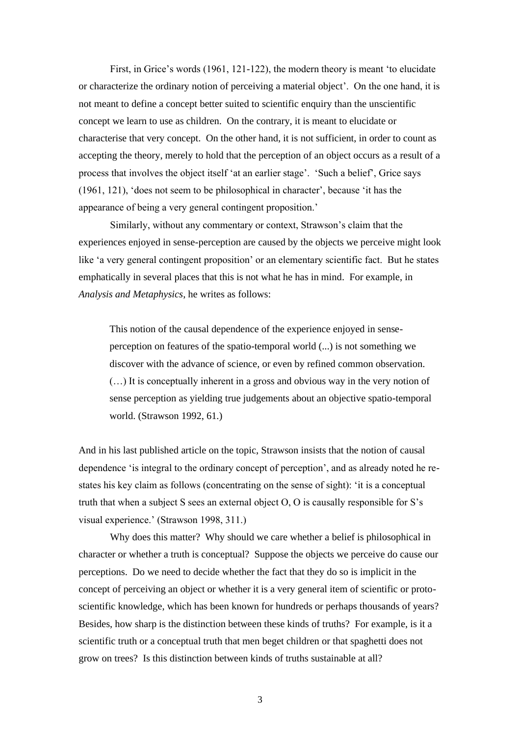First, in Grice's words (1961, 121-122), the modern theory is meant 'to elucidate or characterize the ordinary notion of perceiving a material object'. On the one hand, it is not meant to define a concept better suited to scientific enquiry than the unscientific concept we learn to use as children. On the contrary, it is meant to elucidate or characterise that very concept. On the other hand, it is not sufficient, in order to count as accepting the theory, merely to hold that the perception of an object occurs as a result of a process that involves the object itself 'at an earlier stage'. 'Such a belief', Grice says (1961, 121), 'does not seem to be philosophical in character', because 'it has the appearance of being a very general contingent proposition.'

Similarly, without any commentary or context, Strawson's claim that the experiences enjoyed in sense-perception are caused by the objects we perceive might look like 'a very general contingent proposition' or an elementary scientific fact. But he states emphatically in several places that this is not what he has in mind. For example, in *Analysis and Metaphysics*, he writes as follows:

This notion of the causal dependence of the experience enjoyed in senseperception on features of the spatio-temporal world (...) is not something we discover with the advance of science, or even by refined common observation. (…) It is conceptually inherent in a gross and obvious way in the very notion of sense perception as yielding true judgements about an objective spatio-temporal world. (Strawson 1992, 61.)

And in his last published article on the topic, Strawson insists that the notion of causal dependence 'is integral to the ordinary concept of perception', and as already noted he restates his key claim as follows (concentrating on the sense of sight): 'it is a conceptual truth that when a subject S sees an external object O, O is causally responsible for S's visual experience.' (Strawson 1998, 311.)

Why does this matter? Why should we care whether a belief is philosophical in character or whether a truth is conceptual? Suppose the objects we perceive do cause our perceptions. Do we need to decide whether the fact that they do so is implicit in the concept of perceiving an object or whether it is a very general item of scientific or protoscientific knowledge, which has been known for hundreds or perhaps thousands of years? Besides, how sharp is the distinction between these kinds of truths? For example, is it a scientific truth or a conceptual truth that men beget children or that spaghetti does not grow on trees? Is this distinction between kinds of truths sustainable at all?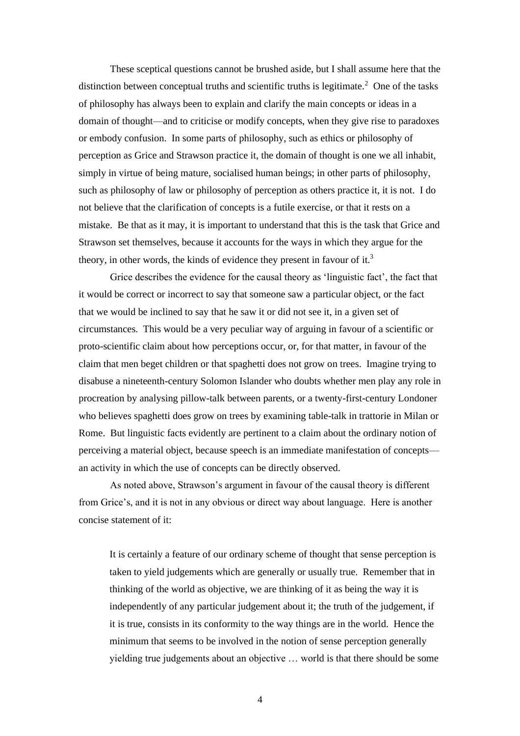These sceptical questions cannot be brushed aside, but I shall assume here that the distinction between conceptual truths and scientific truths is legitimate.<sup>2</sup> One of the tasks of philosophy has always been to explain and clarify the main concepts or ideas in a domain of thought—and to criticise or modify concepts, when they give rise to paradoxes or embody confusion. In some parts of philosophy, such as ethics or philosophy of perception as Grice and Strawson practice it, the domain of thought is one we all inhabit, simply in virtue of being mature, socialised human beings; in other parts of philosophy, such as philosophy of law or philosophy of perception as others practice it, it is not. I do not believe that the clarification of concepts is a futile exercise, or that it rests on a mistake. Be that as it may, it is important to understand that this is the task that Grice and Strawson set themselves, because it accounts for the ways in which they argue for the theory, in other words, the kinds of evidence they present in favour of it.<sup>3</sup>

Grice describes the evidence for the causal theory as 'linguistic fact', the fact that it would be correct or incorrect to say that someone saw a particular object, or the fact that we would be inclined to say that he saw it or did not see it, in a given set of circumstances. This would be a very peculiar way of arguing in favour of a scientific or proto-scientific claim about how perceptions occur, or, for that matter, in favour of the claim that men beget children or that spaghetti does not grow on trees. Imagine trying to disabuse a nineteenth-century Solomon Islander who doubts whether men play any role in procreation by analysing pillow-talk between parents, or a twenty-first-century Londoner who believes spaghetti does grow on trees by examining table-talk in trattorie in Milan or Rome. But linguistic facts evidently are pertinent to a claim about the ordinary notion of perceiving a material object, because speech is an immediate manifestation of concepts an activity in which the use of concepts can be directly observed.

As noted above, Strawson's argument in favour of the causal theory is different from Grice's, and it is not in any obvious or direct way about language. Here is another concise statement of it:

It is certainly a feature of our ordinary scheme of thought that sense perception is taken to yield judgements which are generally or usually true. Remember that in thinking of the world as objective, we are thinking of it as being the way it is independently of any particular judgement about it; the truth of the judgement, if it is true, consists in its conformity to the way things are in the world. Hence the minimum that seems to be involved in the notion of sense perception generally yielding true judgements about an objective … world is that there should be some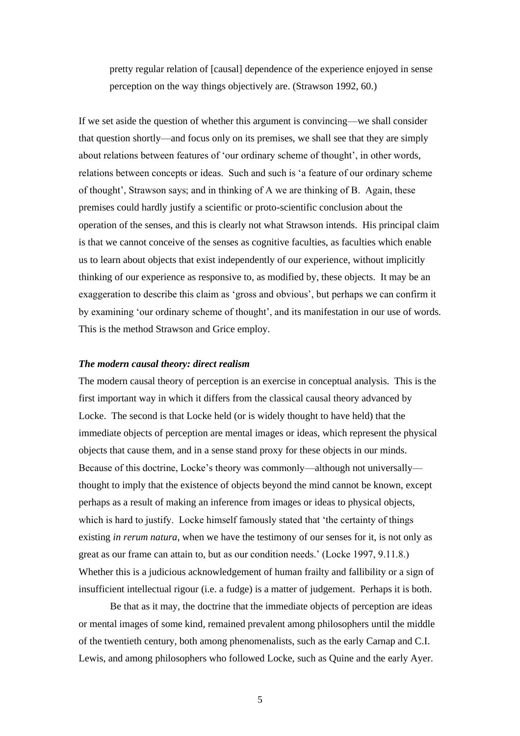pretty regular relation of [causal] dependence of the experience enjoyed in sense perception on the way things objectively are. (Strawson 1992, 60.)

If we set aside the question of whether this argument is convincing—we shall consider that question shortly—and focus only on its premises, we shall see that they are simply about relations between features of 'our ordinary scheme of thought', in other words, relations between concepts or ideas. Such and such is 'a feature of our ordinary scheme of thought', Strawson says; and in thinking of A we are thinking of B. Again, these premises could hardly justify a scientific or proto-scientific conclusion about the operation of the senses, and this is clearly not what Strawson intends. His principal claim is that we cannot conceive of the senses as cognitive faculties, as faculties which enable us to learn about objects that exist independently of our experience, without implicitly thinking of our experience as responsive to, as modified by, these objects. It may be an exaggeration to describe this claim as 'gross and obvious', but perhaps we can confirm it by examining 'our ordinary scheme of thought', and its manifestation in our use of words. This is the method Strawson and Grice employ.

# *The modern causal theory: direct realism*

The modern causal theory of perception is an exercise in conceptual analysis. This is the first important way in which it differs from the classical causal theory advanced by Locke. The second is that Locke held (or is widely thought to have held) that the immediate objects of perception are mental images or ideas, which represent the physical objects that cause them, and in a sense stand proxy for these objects in our minds. Because of this doctrine, Locke's theory was commonly—although not universally thought to imply that the existence of objects beyond the mind cannot be known, except perhaps as a result of making an inference from images or ideas to physical objects, which is hard to justify. Locke himself famously stated that 'the certainty of things existing *in rerum natura*, when we have the testimony of our senses for it, is not only as great as our frame can attain to, but as our condition needs.' (Locke 1997, 9.11.8.) Whether this is a judicious acknowledgement of human frailty and fallibility or a sign of insufficient intellectual rigour (i.e. a fudge) is a matter of judgement. Perhaps it is both.

Be that as it may, the doctrine that the immediate objects of perception are ideas or mental images of some kind, remained prevalent among philosophers until the middle of the twentieth century, both among phenomenalists, such as the early Carnap and C.I. Lewis, and among philosophers who followed Locke, such as Quine and the early Ayer.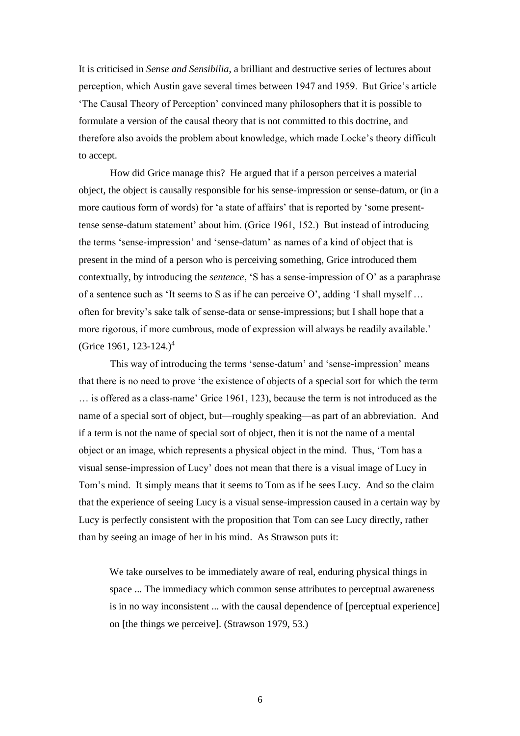It is criticised in *Sense and Sensibilia*, a brilliant and destructive series of lectures about perception, which Austin gave several times between 1947 and 1959. But Grice's article 'The Causal Theory of Perception' convinced many philosophers that it is possible to formulate a version of the causal theory that is not committed to this doctrine, and therefore also avoids the problem about knowledge, which made Locke's theory difficult to accept.

How did Grice manage this? He argued that if a person perceives a material object, the object is causally responsible for his sense-impression or sense-datum, or (in a more cautious form of words) for 'a state of affairs' that is reported by 'some presenttense sense-datum statement' about him. (Grice 1961, 152.) But instead of introducing the terms 'sense-impression' and 'sense-datum' as names of a kind of object that is present in the mind of a person who is perceiving something, Grice introduced them contextually, by introducing the *sentence*, 'S has a sense-impression of O' as a paraphrase of a sentence such as 'It seems to S as if he can perceive O', adding 'I shall myself … often for brevity's sake talk of sense-data or sense-impressions; but I shall hope that a more rigorous, if more cumbrous, mode of expression will always be readily available.' (Grice 1961, 123-124.)<sup>4</sup>

This way of introducing the terms 'sense-datum' and 'sense-impression' means that there is no need to prove 'the existence of objects of a special sort for which the term … is offered as a class-name' Grice 1961, 123), because the term is not introduced as the name of a special sort of object, but—roughly speaking—as part of an abbreviation. And if a term is not the name of special sort of object, then it is not the name of a mental object or an image, which represents a physical object in the mind. Thus, 'Tom has a visual sense-impression of Lucy' does not mean that there is a visual image of Lucy in Tom's mind. It simply means that it seems to Tom as if he sees Lucy. And so the claim that the experience of seeing Lucy is a visual sense-impression caused in a certain way by Lucy is perfectly consistent with the proposition that Tom can see Lucy directly, rather than by seeing an image of her in his mind. As Strawson puts it:

We take ourselves to be immediately aware of real, enduring physical things in space ... The immediacy which common sense attributes to perceptual awareness is in no way inconsistent ... with the causal dependence of [perceptual experience] on [the things we perceive]. (Strawson 1979, 53.)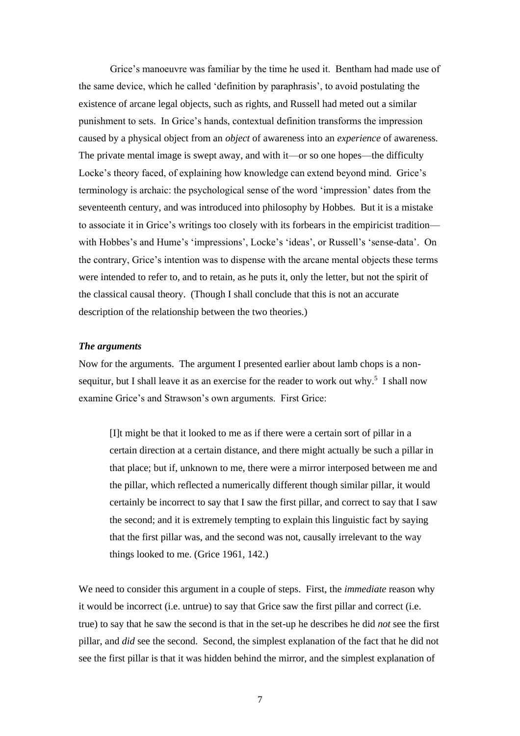Grice's manoeuvre was familiar by the time he used it. Bentham had made use of the same device, which he called 'definition by paraphrasis', to avoid postulating the existence of arcane legal objects, such as rights, and Russell had meted out a similar punishment to sets. In Grice's hands, contextual definition transforms the impression caused by a physical object from an *object* of awareness into an *experience* of awareness. The private mental image is swept away, and with it—or so one hopes—the difficulty Locke's theory faced, of explaining how knowledge can extend beyond mind. Grice's terminology is archaic: the psychological sense of the word 'impression' dates from the seventeenth century, and was introduced into philosophy by Hobbes. But it is a mistake to associate it in Grice's writings too closely with its forbears in the empiricist tradition with Hobbes's and Hume's 'impressions', Locke's 'ideas', or Russell's 'sense-data'. On the contrary, Grice's intention was to dispense with the arcane mental objects these terms were intended to refer to, and to retain, as he puts it, only the letter, but not the spirit of the classical causal theory. (Though I shall conclude that this is not an accurate description of the relationship between the two theories.)

#### *The arguments*

Now for the arguments. The argument I presented earlier about lamb chops is a nonsequitur, but I shall leave it as an exercise for the reader to work out why.<sup>5</sup> I shall now examine Grice's and Strawson's own arguments. First Grice:

[I]t might be that it looked to me as if there were a certain sort of pillar in a certain direction at a certain distance, and there might actually be such a pillar in that place; but if, unknown to me, there were a mirror interposed between me and the pillar, which reflected a numerically different though similar pillar, it would certainly be incorrect to say that I saw the first pillar, and correct to say that I saw the second; and it is extremely tempting to explain this linguistic fact by saying that the first pillar was, and the second was not, causally irrelevant to the way things looked to me. (Grice 1961, 142.)

We need to consider this argument in a couple of steps. First, the *immediate* reason why it would be incorrect (i.e. untrue) to say that Grice saw the first pillar and correct (i.e. true) to say that he saw the second is that in the set-up he describes he did *not* see the first pillar, and *did* see the second. Second, the simplest explanation of the fact that he did not see the first pillar is that it was hidden behind the mirror, and the simplest explanation of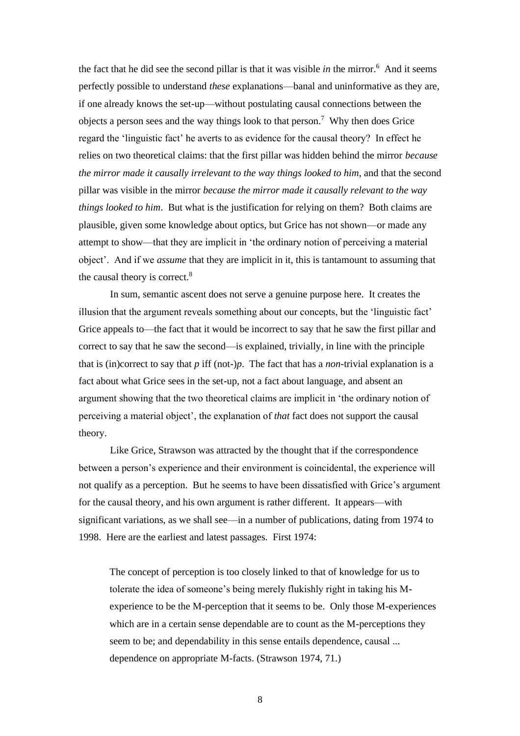the fact that he did see the second pillar is that it was visible *in* the mirror.<sup>6</sup> And it seems perfectly possible to understand *these* explanations—banal and uninformative as they are, if one already knows the set-up—without postulating causal connections between the objects a person sees and the way things look to that person.<sup>7</sup> Why then does Grice regard the 'linguistic fact' he averts to as evidence for the causal theory? In effect he relies on two theoretical claims: that the first pillar was hidden behind the mirror *because the mirror made it causally irrelevant to the way things looked to him*, and that the second pillar was visible in the mirror *because the mirror made it causally relevant to the way things looked to him*. But what is the justification for relying on them? Both claims are plausible, given some knowledge about optics, but Grice has not shown—or made any attempt to show—that they are implicit in 'the ordinary notion of perceiving a material object'. And if we *assume* that they are implicit in it, this is tantamount to assuming that the causal theory is correct.<sup>8</sup>

In sum, semantic ascent does not serve a genuine purpose here. It creates the illusion that the argument reveals something about our concepts, but the 'linguistic fact' Grice appeals to—the fact that it would be incorrect to say that he saw the first pillar and correct to say that he saw the second—is explained, trivially, in line with the principle that is (in)correct to say that *p* iff (not-)*p*. The fact that has a *non*-trivial explanation is a fact about what Grice sees in the set-up, not a fact about language, and absent an argument showing that the two theoretical claims are implicit in 'the ordinary notion of perceiving a material object', the explanation of *that* fact does not support the causal theory.

Like Grice, Strawson was attracted by the thought that if the correspondence between a person's experience and their environment is coincidental, the experience will not qualify as a perception. But he seems to have been dissatisfied with Grice's argument for the causal theory, and his own argument is rather different. It appears—with significant variations, as we shall see—in a number of publications, dating from 1974 to 1998. Here are the earliest and latest passages. First 1974:

The concept of perception is too closely linked to that of knowledge for us to tolerate the idea of someone's being merely flukishly right in taking his Mexperience to be the M-perception that it seems to be. Only those M-experiences which are in a certain sense dependable are to count as the M-perceptions they seem to be; and dependability in this sense entails dependence, causal ... dependence on appropriate M-facts. (Strawson 1974, 71.)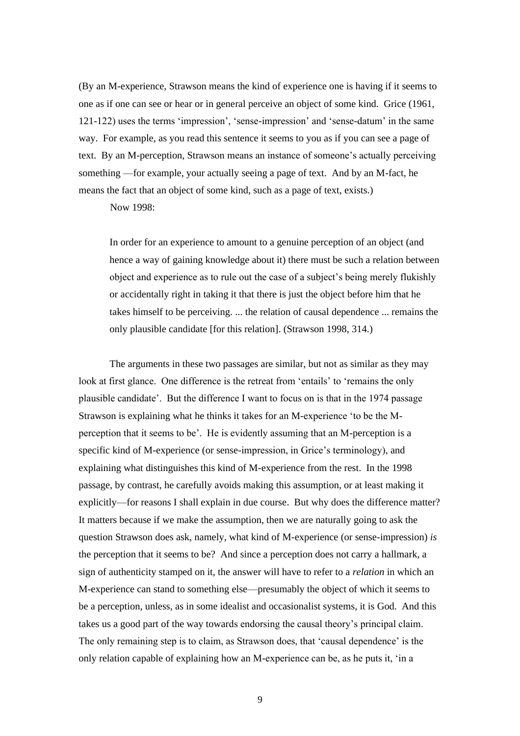(By an M-experience, Strawson means the kind of experience one is having if it seems to one as if one can see or hear or in general perceive an object of some kind. Grice (1961, 121-122) uses the terms 'impression', 'sense-impression' and 'sense-datum' in the same way. For example, as you read this sentence it seems to you as if you can see a page of text. By an M-perception, Strawson means an instance of someone's actually perceiving something —for example, your actually seeing a page of text. And by an M-fact, he means the fact that an object of some kind, such as a page of text, exists.)

Now 1998:

In order for an experience to amount to a genuine perception of an object (and hence a way of gaining knowledge about it) there must be such a relation between object and experience as to rule out the case of a subject's being merely flukishly or accidentally right in taking it that there is just the object before him that he takes himself to be perceiving. ... the relation of causal dependence ... remains the only plausible candidate [for this relation]. (Strawson 1998, 314.)

The arguments in these two passages are similar, but not as similar as they may look at first glance. One difference is the retreat from 'entails' to 'remains the only plausible candidate'. But the difference I want to focus on is that in the 1974 passage Strawson is explaining what he thinks it takes for an M-experience 'to be the Mperception that it seems to be'. He is evidently assuming that an M-perception is a specific kind of M-experience (or sense-impression, in Grice's terminology), and explaining what distinguishes this kind of M-experience from the rest. In the 1998 passage, by contrast, he carefully avoids making this assumption, or at least making it explicitly—for reasons I shall explain in due course. But why does the difference matter? It matters because if we make the assumption, then we are naturally going to ask the question Strawson does ask, namely, what kind of M-experience (or sense-impression) *is*  the perception that it seems to be? And since a perception does not carry a hallmark, a sign of authenticity stamped on it, the answer will have to refer to a *relation* in which an M-experience can stand to something else—presumably the object of which it seems to be a perception, unless, as in some idealist and occasionalist systems, it is God. And this takes us a good part of the way towards endorsing the causal theory's principal claim. The only remaining step is to claim, as Strawson does, that 'causal dependence' is the only relation capable of explaining how an M-experience can be, as he puts it, 'in a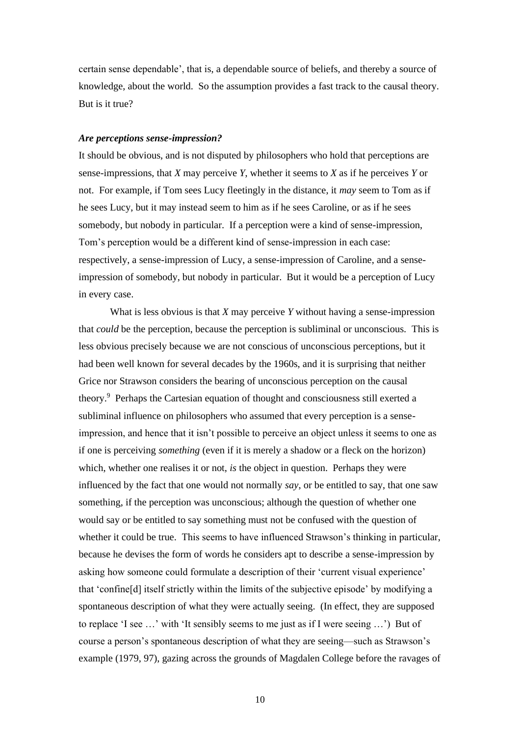certain sense dependable', that is, a dependable source of beliefs, and thereby a source of knowledge, about the world. So the assumption provides a fast track to the causal theory. But is it true?

### *Are perceptions sense-impression?*

It should be obvious, and is not disputed by philosophers who hold that perceptions are sense-impressions, that *X* may perceive *Y*, whether it seems to *X* as if he perceives *Y* or not. For example, if Tom sees Lucy fleetingly in the distance, it *may* seem to Tom as if he sees Lucy, but it may instead seem to him as if he sees Caroline, or as if he sees somebody, but nobody in particular. If a perception were a kind of sense-impression, Tom's perception would be a different kind of sense-impression in each case: respectively, a sense-impression of Lucy, a sense-impression of Caroline, and a senseimpression of somebody, but nobody in particular. But it would be a perception of Lucy in every case.

What is less obvious is that *X* may perceive *Y* without having a sense-impression that *could* be the perception, because the perception is subliminal or unconscious. This is less obvious precisely because we are not conscious of unconscious perceptions, but it had been well known for several decades by the 1960s, and it is surprising that neither Grice nor Strawson considers the bearing of unconscious perception on the causal theory.<sup>9</sup> Perhaps the Cartesian equation of thought and consciousness still exerted a subliminal influence on philosophers who assumed that every perception is a senseimpression, and hence that it isn't possible to perceive an object unless it seems to one as if one is perceiving *something* (even if it is merely a shadow or a fleck on the horizon) which, whether one realises it or not, *is* the object in question. Perhaps they were influenced by the fact that one would not normally *say*, or be entitled to say, that one saw something, if the perception was unconscious; although the question of whether one would say or be entitled to say something must not be confused with the question of whether it could be true. This seems to have influenced Strawson's thinking in particular, because he devises the form of words he considers apt to describe a sense-impression by asking how someone could formulate a description of their 'current visual experience' that 'confine[d] itself strictly within the limits of the subjective episode' by modifying a spontaneous description of what they were actually seeing. (In effect, they are supposed to replace 'I see …' with 'It sensibly seems to me just as if I were seeing …') But of course a person's spontaneous description of what they are seeing—such as Strawson's example (1979, 97), gazing across the grounds of Magdalen College before the ravages of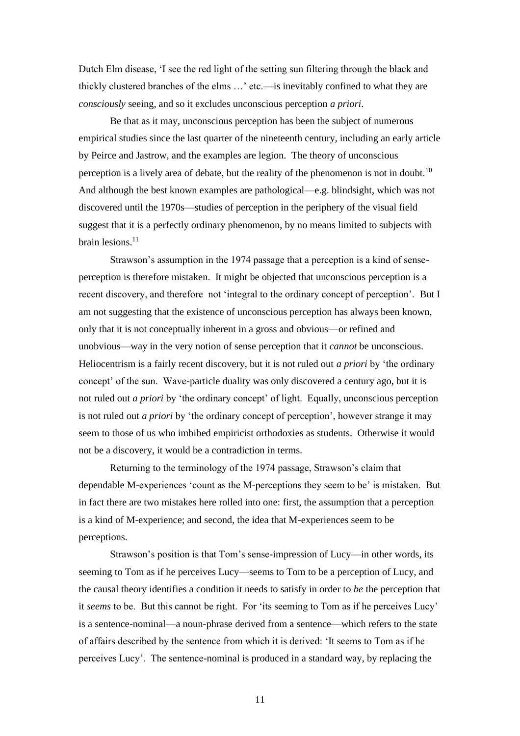Dutch Elm disease, 'I see the red light of the setting sun filtering through the black and thickly clustered branches of the elms …' etc.—is inevitably confined to what they are *consciously* seeing, and so it excludes unconscious perception *a priori*.

Be that as it may, unconscious perception has been the subject of numerous empirical studies since the last quarter of the nineteenth century, including an early article by Peirce and Jastrow, and the examples are legion. The theory of unconscious perception is a lively area of debate, but the reality of the phenomenon is not in doubt.<sup>10</sup> And although the best known examples are pathological—e.g. blindsight, which was not discovered until the 1970s—studies of perception in the periphery of the visual field suggest that it is a perfectly ordinary phenomenon, by no means limited to subjects with brain lesions. $^{11}$ 

Strawson's assumption in the 1974 passage that a perception is a kind of senseperception is therefore mistaken. It might be objected that unconscious perception is a recent discovery, and therefore not 'integral to the ordinary concept of perception'. But I am not suggesting that the existence of unconscious perception has always been known, only that it is not conceptually inherent in a gross and obvious—or refined and unobvious—way in the very notion of sense perception that it *cannot* be unconscious. Heliocentrism is a fairly recent discovery, but it is not ruled out *a priori* by 'the ordinary concept' of the sun. Wave-particle duality was only discovered a century ago, but it is not ruled out *a priori* by 'the ordinary concept' of light. Equally, unconscious perception is not ruled out *a priori* by 'the ordinary concept of perception', however strange it may seem to those of us who imbibed empiricist orthodoxies as students. Otherwise it would not be a discovery, it would be a contradiction in terms.

Returning to the terminology of the 1974 passage, Strawson's claim that dependable M-experiences 'count as the M-perceptions they seem to be' is mistaken. But in fact there are two mistakes here rolled into one: first, the assumption that a perception is a kind of M-experience; and second, the idea that M-experiences seem to be perceptions.

Strawson's position is that Tom's sense-impression of Lucy—in other words, its seeming to Tom as if he perceives Lucy—seems to Tom to be a perception of Lucy, and the causal theory identifies a condition it needs to satisfy in order to *be* the perception that it *seems* to be. But this cannot be right. For 'its seeming to Tom as if he perceives Lucy' is a sentence-nominal—a noun-phrase derived from a sentence—which refers to the state of affairs described by the sentence from which it is derived: 'It seems to Tom as if he perceives Lucy'. The sentence-nominal is produced in a standard way, by replacing the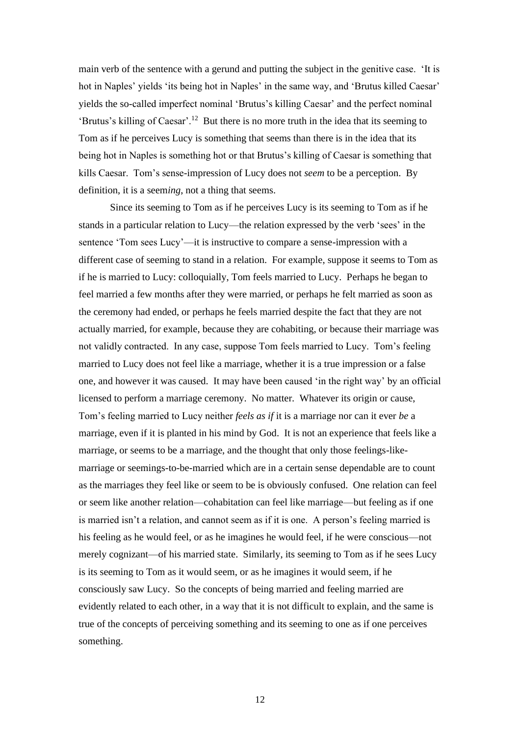main verb of the sentence with a gerund and putting the subject in the genitive case. 'It is hot in Naples' yields 'its being hot in Naples' in the same way, and 'Brutus killed Caesar' yields the so-called imperfect nominal 'Brutus's killing Caesar' and the perfect nominal 'Brutus's killing of Caesar'.<sup>12</sup> But there is no more truth in the idea that its seeming to Tom as if he perceives Lucy is something that seems than there is in the idea that its being hot in Naples is something hot or that Brutus's killing of Caesar is something that kills Caesar. Tom's sense-impression of Lucy does not *seem* to be a perception. By definition, it is a seem*ing*, not a thing that seems.

Since its seeming to Tom as if he perceives Lucy is its seeming to Tom as if he stands in a particular relation to Lucy—the relation expressed by the verb 'sees' in the sentence 'Tom sees Lucy'—it is instructive to compare a sense-impression with a different case of seeming to stand in a relation. For example, suppose it seems to Tom as if he is married to Lucy: colloquially, Tom feels married to Lucy. Perhaps he began to feel married a few months after they were married, or perhaps he felt married as soon as the ceremony had ended, or perhaps he feels married despite the fact that they are not actually married, for example, because they are cohabiting, or because their marriage was not validly contracted. In any case, suppose Tom feels married to Lucy. Tom's feeling married to Lucy does not feel like a marriage, whether it is a true impression or a false one, and however it was caused. It may have been caused 'in the right way' by an official licensed to perform a marriage ceremony. No matter. Whatever its origin or cause, Tom's feeling married to Lucy neither *feels as if* it is a marriage nor can it ever *be* a marriage, even if it is planted in his mind by God. It is not an experience that feels like a marriage, or seems to be a marriage, and the thought that only those feelings-likemarriage or seemings-to-be-married which are in a certain sense dependable are to count as the marriages they feel like or seem to be is obviously confused. One relation can feel or seem like another relation—cohabitation can feel like marriage—but feeling as if one is married isn't a relation, and cannot seem as if it is one. A person's feeling married is his feeling as he would feel, or as he imagines he would feel, if he were conscious—not merely cognizant—of his married state. Similarly, its seeming to Tom as if he sees Lucy is its seeming to Tom as it would seem, or as he imagines it would seem, if he consciously saw Lucy. So the concepts of being married and feeling married are evidently related to each other, in a way that it is not difficult to explain, and the same is true of the concepts of perceiving something and its seeming to one as if one perceives something.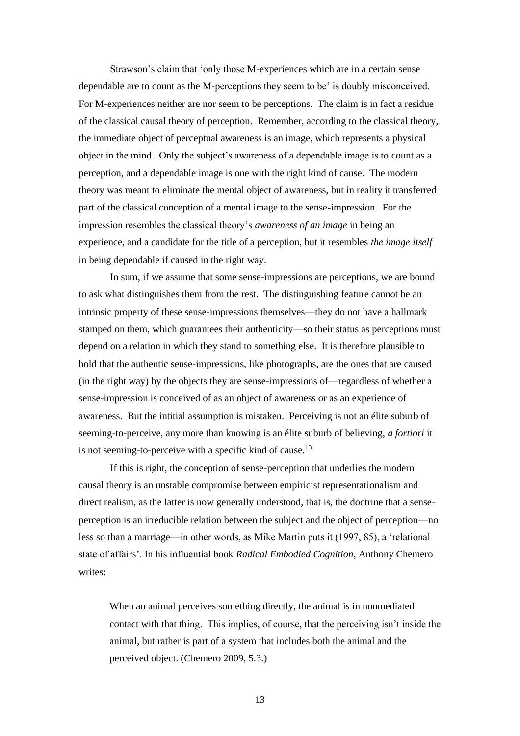Strawson's claim that 'only those M-experiences which are in a certain sense dependable are to count as the M-perceptions they seem to be' is doubly misconceived. For M-experiences neither are nor seem to be perceptions. The claim is in fact a residue of the classical causal theory of perception. Remember, according to the classical theory, the immediate object of perceptual awareness is an image, which represents a physical object in the mind. Only the subject's awareness of a dependable image is to count as a perception, and a dependable image is one with the right kind of cause. The modern theory was meant to eliminate the mental object of awareness, but in reality it transferred part of the classical conception of a mental image to the sense-impression. For the impression resembles the classical theory's *awareness of an image* in being an experience, and a candidate for the title of a perception, but it resembles *the image itself* in being dependable if caused in the right way.

In sum, if we assume that some sense-impressions are perceptions, we are bound to ask what distinguishes them from the rest. The distinguishing feature cannot be an intrinsic property of these sense-impressions themselves—they do not have a hallmark stamped on them, which guarantees their authenticity—so their status as perceptions must depend on a relation in which they stand to something else. It is therefore plausible to hold that the authentic sense-impressions, like photographs, are the ones that are caused (in the right way) by the objects they are sense-impressions of—regardless of whether a sense-impression is conceived of as an object of awareness or as an experience of awareness. But the intitial assumption is mistaken. Perceiving is not an élite suburb of seeming-to-perceive, any more than knowing is an élite suburb of believing, *a fortiori* it is not seeming-to-perceive with a specific kind of cause.<sup>13</sup>

If this is right, the conception of sense-perception that underlies the modern causal theory is an unstable compromise between empiricist representationalism and direct realism, as the latter is now generally understood, that is, the doctrine that a senseperception is an irreducible relation between the subject and the object of perception—no less so than a marriage—in other words, as Mike Martin puts it (1997, 85), a 'relational state of affairs'. In his influential book *Radical Embodied Cognition*, Anthony Chemero writes:

When an animal perceives something directly, the animal is in nonmediated contact with that thing. This implies, of course, that the perceiving isn't inside the animal, but rather is part of a system that includes both the animal and the perceived object. (Chemero 2009, 5.3.)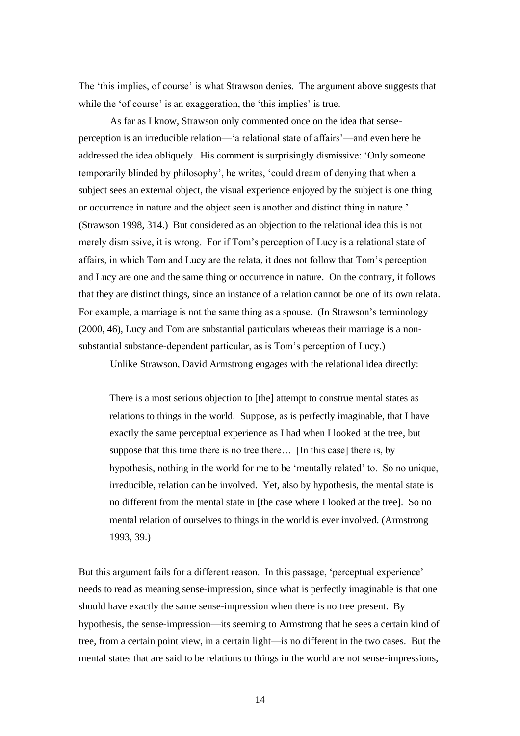The 'this implies, of course' is what Strawson denies. The argument above suggests that while the 'of course' is an exaggeration, the 'this implies' is true.

As far as I know, Strawson only commented once on the idea that senseperception is an irreducible relation—'a relational state of affairs'—and even here he addressed the idea obliquely. His comment is surprisingly dismissive: 'Only someone temporarily blinded by philosophy', he writes, 'could dream of denying that when a subject sees an external object, the visual experience enjoyed by the subject is one thing or occurrence in nature and the object seen is another and distinct thing in nature.' (Strawson 1998, 314.) But considered as an objection to the relational idea this is not merely dismissive, it is wrong. For if Tom's perception of Lucy is a relational state of affairs, in which Tom and Lucy are the relata, it does not follow that Tom's perception and Lucy are one and the same thing or occurrence in nature. On the contrary, it follows that they are distinct things, since an instance of a relation cannot be one of its own relata. For example, a marriage is not the same thing as a spouse. (In Strawson's terminology (2000, 46), Lucy and Tom are substantial particulars whereas their marriage is a nonsubstantial substance-dependent particular, as is Tom's perception of Lucy.)

Unlike Strawson, David Armstrong engages with the relational idea directly:

There is a most serious objection to [the] attempt to construe mental states as relations to things in the world. Suppose, as is perfectly imaginable, that I have exactly the same perceptual experience as I had when I looked at the tree, but suppose that this time there is no tree there… [In this case] there is, by hypothesis, nothing in the world for me to be 'mentally related' to. So no unique, irreducible, relation can be involved. Yet, also by hypothesis, the mental state is no different from the mental state in [the case where I looked at the tree]. So no mental relation of ourselves to things in the world is ever involved. (Armstrong 1993, 39.)

But this argument fails for a different reason. In this passage, 'perceptual experience' needs to read as meaning sense-impression, since what is perfectly imaginable is that one should have exactly the same sense-impression when there is no tree present. By hypothesis, the sense-impression—its seeming to Armstrong that he sees a certain kind of tree, from a certain point view, in a certain light—is no different in the two cases. But the mental states that are said to be relations to things in the world are not sense-impressions,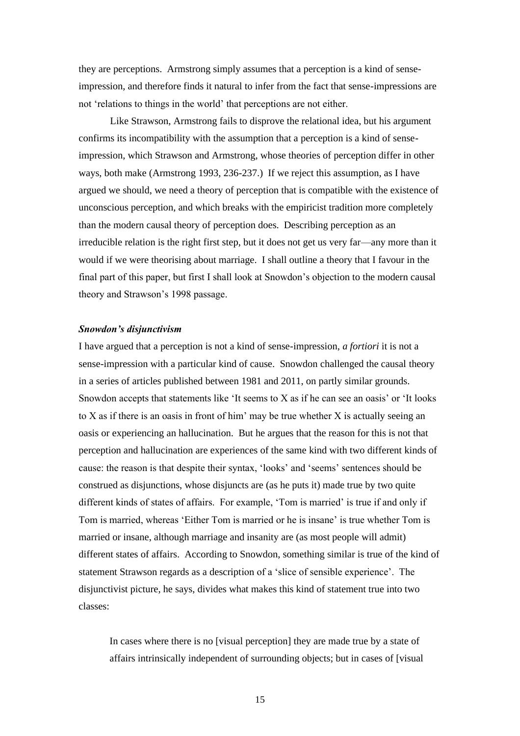they are perceptions. Armstrong simply assumes that a perception is a kind of senseimpression, and therefore finds it natural to infer from the fact that sense-impressions are not 'relations to things in the world' that perceptions are not either.

Like Strawson, Armstrong fails to disprove the relational idea, but his argument confirms its incompatibility with the assumption that a perception is a kind of senseimpression, which Strawson and Armstrong, whose theories of perception differ in other ways, both make (Armstrong 1993, 236-237.) If we reject this assumption, as I have argued we should, we need a theory of perception that is compatible with the existence of unconscious perception, and which breaks with the empiricist tradition more completely than the modern causal theory of perception does. Describing perception as an irreducible relation is the right first step, but it does not get us very far—any more than it would if we were theorising about marriage. I shall outline a theory that I favour in the final part of this paper, but first I shall look at Snowdon's objection to the modern causal theory and Strawson's 1998 passage.

# *Snowdon's disjunctivism*

I have argued that a perception is not a kind of sense-impression, *a fortiori* it is not a sense-impression with a particular kind of cause. Snowdon challenged the causal theory in a series of articles published between 1981 and 2011, on partly similar grounds. Snowdon accepts that statements like 'It seems to X as if he can see an oasis' or 'It looks to X as if there is an oasis in front of him' may be true whether X is actually seeing an oasis or experiencing an hallucination. But he argues that the reason for this is not that perception and hallucination are experiences of the same kind with two different kinds of cause: the reason is that despite their syntax, 'looks' and 'seems' sentences should be construed as disjunctions, whose disjuncts are (as he puts it) made true by two quite different kinds of states of affairs. For example, 'Tom is married' is true if and only if Tom is married, whereas 'Either Tom is married or he is insane' is true whether Tom is married or insane, although marriage and insanity are (as most people will admit) different states of affairs. According to Snowdon, something similar is true of the kind of statement Strawson regards as a description of a 'slice of sensible experience'. The disjunctivist picture, he says, divides what makes this kind of statement true into two classes:

In cases where there is no [visual perception] they are made true by a state of affairs intrinsically independent of surrounding objects; but in cases of [visual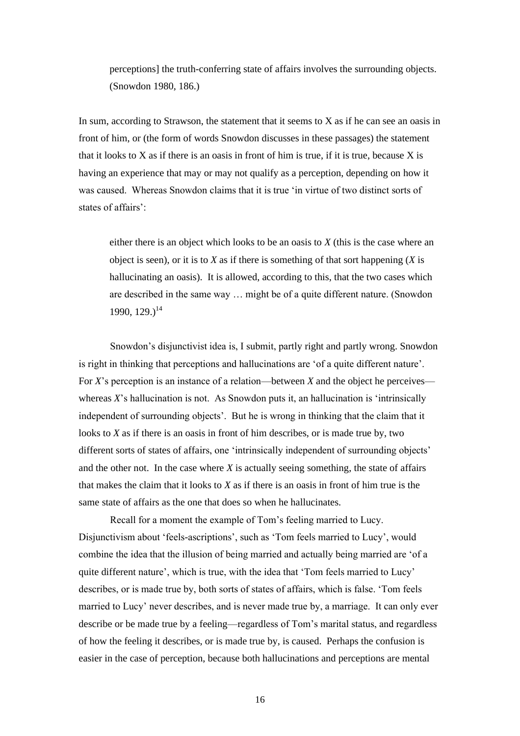perceptions] the truth-conferring state of affairs involves the surrounding objects. (Snowdon 1980, 186.)

In sum, according to Strawson, the statement that it seems to  $X$  as if he can see an oasis in front of him, or (the form of words Snowdon discusses in these passages) the statement that it looks to  $X$  as if there is an oasis in front of him is true, if it is true, because  $X$  is having an experience that may or may not qualify as a perception, depending on how it was caused. Whereas Snowdon claims that it is true 'in virtue of two distinct sorts of states of affairs':

either there is an object which looks to be an oasis to *X* (this is the case where an object is seen), or it is to *X* as if there is something of that sort happening (*X* is hallucinating an oasis). It is allowed, according to this, that the two cases which are described in the same way … might be of a quite different nature. (Snowdon  $1990, 129.$ <sup>14</sup>

Snowdon's disjunctivist idea is, I submit, partly right and partly wrong. Snowdon is right in thinking that perceptions and hallucinations are 'of a quite different nature'. For *X*'s perception is an instance of a relation—between *X* and the object he perceives whereas *X*'s hallucination is not. As Snowdon puts it, an hallucination is 'intrinsically independent of surrounding objects'. But he is wrong in thinking that the claim that it looks to *X* as if there is an oasis in front of him describes, or is made true by, two different sorts of states of affairs, one 'intrinsically independent of surrounding objects' and the other not. In the case where *X* is actually seeing something, the state of affairs that makes the claim that it looks to *X* as if there is an oasis in front of him true is the same state of affairs as the one that does so when he hallucinates.

Recall for a moment the example of Tom's feeling married to Lucy. Disjunctivism about 'feels-ascriptions', such as 'Tom feels married to Lucy', would combine the idea that the illusion of being married and actually being married are 'of a quite different nature', which is true, with the idea that 'Tom feels married to Lucy' describes, or is made true by, both sorts of states of affairs, which is false. 'Tom feels married to Lucy' never describes, and is never made true by, a marriage. It can only ever describe or be made true by a feeling—regardless of Tom's marital status, and regardless of how the feeling it describes, or is made true by, is caused. Perhaps the confusion is easier in the case of perception, because both hallucinations and perceptions are mental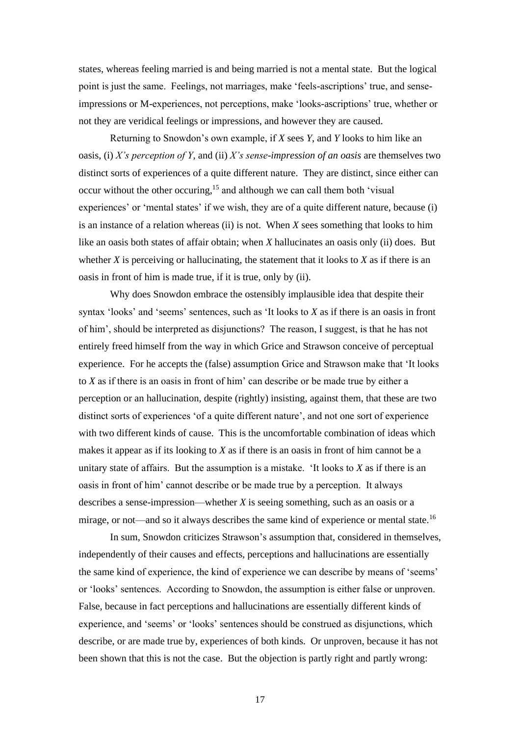states, whereas feeling married is and being married is not a mental state. But the logical point is just the same. Feelings, not marriages, make 'feels-ascriptions' true, and senseimpressions or M-experiences, not perceptions, make 'looks-ascriptions' true, whether or not they are veridical feelings or impressions, and however they are caused.

Returning to Snowdon's own example, if *X* sees *Y*, and *Y* looks to him like an oasis, (i) *X's perception of Y*, and (ii) *X's sense-impression of an oasis* are themselves two distinct sorts of experiences of a quite different nature. They are distinct, since either can occur without the other occuring,<sup>15</sup> and although we can call them both 'visual experiences' or 'mental states' if we wish, they are of a quite different nature, because (i) is an instance of a relation whereas (ii) is not. When *X* sees something that looks to him like an oasis both states of affair obtain; when *X* hallucinates an oasis only (ii) does. But whether  $X$  is perceiving or hallucinating, the statement that it looks to  $X$  as if there is an oasis in front of him is made true, if it is true, only by (ii).

Why does Snowdon embrace the ostensibly implausible idea that despite their syntax 'looks' and 'seems' sentences, such as 'It looks to *X* as if there is an oasis in front of him', should be interpreted as disjunctions? The reason, I suggest, is that he has not entirely freed himself from the way in which Grice and Strawson conceive of perceptual experience. For he accepts the (false) assumption Grice and Strawson make that 'It looks to *X* as if there is an oasis in front of him' can describe or be made true by either a perception or an hallucination, despite (rightly) insisting, against them, that these are two distinct sorts of experiences 'of a quite different nature', and not one sort of experience with two different kinds of cause. This is the uncomfortable combination of ideas which makes it appear as if its looking to *X* as if there is an oasis in front of him cannot be a unitary state of affairs. But the assumption is a mistake. 'It looks to *X* as if there is an oasis in front of him' cannot describe or be made true by a perception. It always describes a sense-impression—whether *X* is seeing something, such as an oasis or a mirage, or not—and so it always describes the same kind of experience or mental state.<sup>16</sup>

In sum, Snowdon criticizes Strawson's assumption that, considered in themselves, independently of their causes and effects, perceptions and hallucinations are essentially the same kind of experience, the kind of experience we can describe by means of 'seems' or 'looks' sentences. According to Snowdon, the assumption is either false or unproven. False, because in fact perceptions and hallucinations are essentially different kinds of experience, and 'seems' or 'looks' sentences should be construed as disjunctions, which describe, or are made true by, experiences of both kinds. Or unproven, because it has not been shown that this is not the case. But the objection is partly right and partly wrong: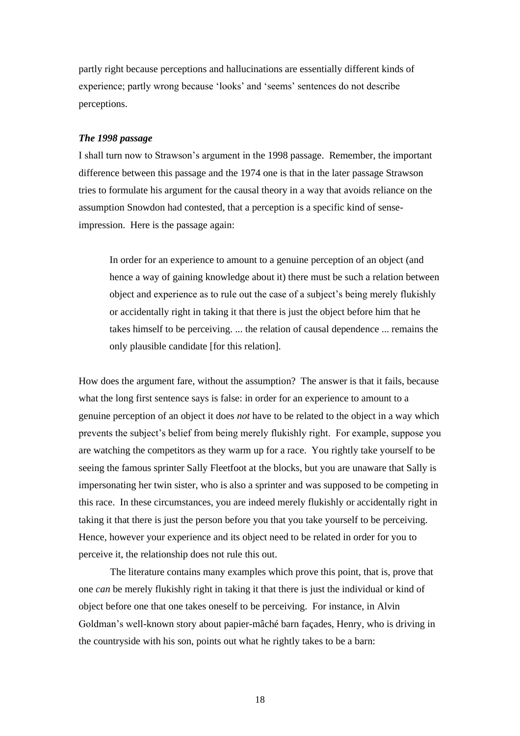partly right because perceptions and hallucinations are essentially different kinds of experience; partly wrong because 'looks' and 'seems' sentences do not describe perceptions.

# *The 1998 passage*

I shall turn now to Strawson's argument in the 1998 passage. Remember, the important difference between this passage and the 1974 one is that in the later passage Strawson tries to formulate his argument for the causal theory in a way that avoids reliance on the assumption Snowdon had contested, that a perception is a specific kind of senseimpression. Here is the passage again:

In order for an experience to amount to a genuine perception of an object (and hence a way of gaining knowledge about it) there must be such a relation between object and experience as to rule out the case of a subject's being merely flukishly or accidentally right in taking it that there is just the object before him that he takes himself to be perceiving. ... the relation of causal dependence ... remains the only plausible candidate [for this relation].

How does the argument fare, without the assumption? The answer is that it fails, because what the long first sentence says is false: in order for an experience to amount to a genuine perception of an object it does *not* have to be related to the object in a way which prevents the subject's belief from being merely flukishly right. For example, suppose you are watching the competitors as they warm up for a race. You rightly take yourself to be seeing the famous sprinter Sally Fleetfoot at the blocks, but you are unaware that Sally is impersonating her twin sister, who is also a sprinter and was supposed to be competing in this race. In these circumstances, you are indeed merely flukishly or accidentally right in taking it that there is just the person before you that you take yourself to be perceiving. Hence, however your experience and its object need to be related in order for you to perceive it, the relationship does not rule this out.

The literature contains many examples which prove this point, that is, prove that one *can* be merely flukishly right in taking it that there is just the individual or kind of object before one that one takes oneself to be perceiving. For instance, in Alvin Goldman's well-known story about papier-mâché barn façades, Henry, who is driving in the countryside with his son, points out what he rightly takes to be a barn: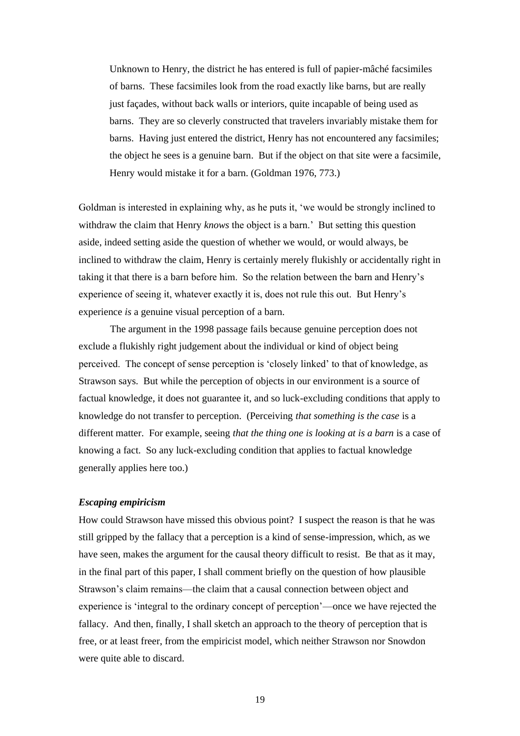Unknown to Henry, the district he has entered is full of papier-mâché facsimiles of barns. These facsimiles look from the road exactly like barns, but are really just façades, without back walls or interiors, quite incapable of being used as barns. They are so cleverly constructed that travelers invariably mistake them for barns. Having just entered the district, Henry has not encountered any facsimiles; the object he sees is a genuine barn. But if the object on that site were a facsimile, Henry would mistake it for a barn. (Goldman 1976, 773.)

Goldman is interested in explaining why, as he puts it, 'we would be strongly inclined to withdraw the claim that Henry *knows* the object is a barn.' But setting this question aside, indeed setting aside the question of whether we would, or would always, be inclined to withdraw the claim, Henry is certainly merely flukishly or accidentally right in taking it that there is a barn before him. So the relation between the barn and Henry's experience of seeing it, whatever exactly it is, does not rule this out. But Henry's experience *is* a genuine visual perception of a barn.

The argument in the 1998 passage fails because genuine perception does not exclude a flukishly right judgement about the individual or kind of object being perceived. The concept of sense perception is 'closely linked' to that of knowledge, as Strawson says. But while the perception of objects in our environment is a source of factual knowledge, it does not guarantee it, and so luck-excluding conditions that apply to knowledge do not transfer to perception. (Perceiving *that something is the case* is a different matter. For example, seeing *that the thing one is looking at is a barn* is a case of knowing a fact. So any luck-excluding condition that applies to factual knowledge generally applies here too.)

# *Escaping empiricism*

How could Strawson have missed this obvious point? I suspect the reason is that he was still gripped by the fallacy that a perception is a kind of sense-impression, which, as we have seen, makes the argument for the causal theory difficult to resist. Be that as it may, in the final part of this paper, I shall comment briefly on the question of how plausible Strawson's claim remains—the claim that a causal connection between object and experience is 'integral to the ordinary concept of perception'—once we have rejected the fallacy. And then, finally, I shall sketch an approach to the theory of perception that is free, or at least freer, from the empiricist model, which neither Strawson nor Snowdon were quite able to discard.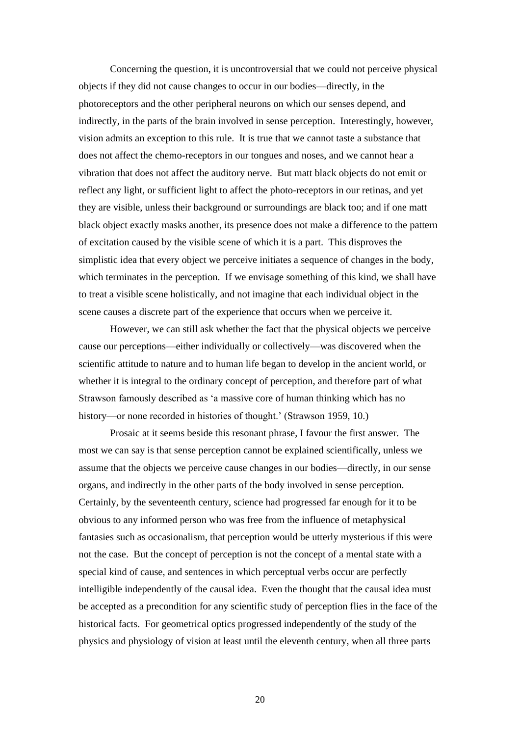Concerning the question, it is uncontroversial that we could not perceive physical objects if they did not cause changes to occur in our bodies—directly, in the photoreceptors and the other peripheral neurons on which our senses depend, and indirectly, in the parts of the brain involved in sense perception. Interestingly, however, vision admits an exception to this rule. It is true that we cannot taste a substance that does not affect the chemo-receptors in our tongues and noses, and we cannot hear a vibration that does not affect the auditory nerve. But matt black objects do not emit or reflect any light, or sufficient light to affect the photo-receptors in our retinas, and yet they are visible, unless their background or surroundings are black too; and if one matt black object exactly masks another, its presence does not make a difference to the pattern of excitation caused by the visible scene of which it is a part. This disproves the simplistic idea that every object we perceive initiates a sequence of changes in the body, which terminates in the perception. If we envisage something of this kind, we shall have to treat a visible scene holistically, and not imagine that each individual object in the scene causes a discrete part of the experience that occurs when we perceive it.

However, we can still ask whether the fact that the physical objects we perceive cause our perceptions—either individually or collectively—was discovered when the scientific attitude to nature and to human life began to develop in the ancient world, or whether it is integral to the ordinary concept of perception, and therefore part of what Strawson famously described as 'a massive core of human thinking which has no history—or none recorded in histories of thought.' (Strawson 1959, 10.)

Prosaic at it seems beside this resonant phrase, I favour the first answer. The most we can say is that sense perception cannot be explained scientifically, unless we assume that the objects we perceive cause changes in our bodies—directly, in our sense organs, and indirectly in the other parts of the body involved in sense perception. Certainly, by the seventeenth century, science had progressed far enough for it to be obvious to any informed person who was free from the influence of metaphysical fantasies such as occasionalism, that perception would be utterly mysterious if this were not the case. But the concept of perception is not the concept of a mental state with a special kind of cause, and sentences in which perceptual verbs occur are perfectly intelligible independently of the causal idea. Even the thought that the causal idea must be accepted as a precondition for any scientific study of perception flies in the face of the historical facts. For geometrical optics progressed independently of the study of the physics and physiology of vision at least until the eleventh century, when all three parts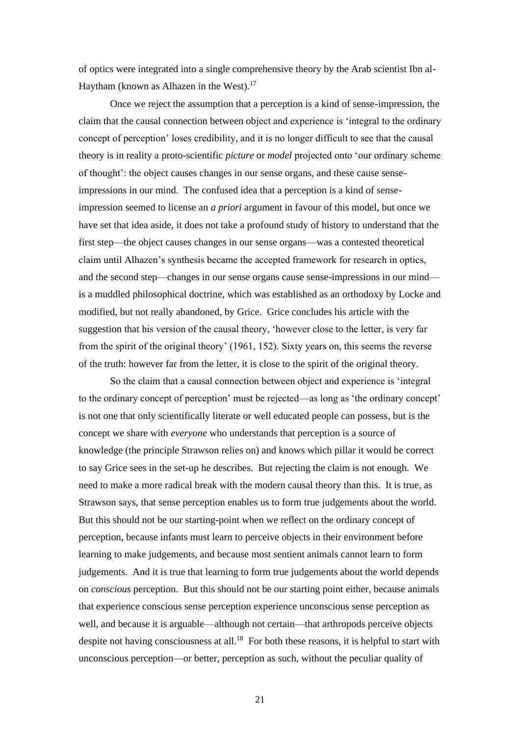of optics were integrated into a single comprehensive theory by the Arab scientist Ibn al-Haytham (known as Alhazen in the West).<sup>17</sup>

Once we reject the assumption that a perception is a kind of sense-impression, the claim that the causal connection between object and experience is 'integral to the ordinary concept of perception' loses credibility, and it is no longer difficult to see that the causal theory is in reality a proto-scientific *picture* or *model* projected onto 'our ordinary scheme of thought': the object causes changes in our sense organs, and these cause senseimpressions in our mind. The confused idea that a perception is a kind of senseimpression seemed to license an *a priori* argument in favour of this model, but once we have set that idea aside, it does not take a profound study of history to understand that the first step—the object causes changes in our sense organs—was a contested theoretical claim until Alhazen's synthesis became the accepted framework for research in optics, and the second step—changes in our sense organs cause sense-impressions in our mind is a muddled philosophical doctrine, which was established as an orthodoxy by Locke and modified, but not really abandoned, by Grice. Grice concludes his article with the suggestion that his version of the causal theory, 'however close to the letter, is very far from the spirit of the original theory' (1961, 152). Sixty years on, this seems the reverse of the truth: however far from the letter, it is close to the spirit of the original theory.

So the claim that a causal connection between object and experience is 'integral to the ordinary concept of perception' must be rejected—as long as 'the ordinary concept' is not one that only scientifically literate or well educated people can possess, but is the concept we share with *everyone* who understands that perception is a source of knowledge (the principle Strawson relies on) and knows which pillar it would be correct to say Grice sees in the set-up he describes. But rejecting the claim is not enough. We need to make a more radical break with the modern causal theory than this. It is true, as Strawson says, that sense perception enables us to form true judgements about the world. But this should not be our starting-point when we reflect on the ordinary concept of perception, because infants must learn to perceive objects in their environment before learning to make judgements, and because most sentient animals cannot learn to form judgements. And it is true that learning to form true judgements about the world depends on *conscious* perception. But this should not be our starting point either, because animals that experience conscious sense perception experience unconscious sense perception as well, and because it is arguable—although not certain—that arthropods perceive objects despite not having consciousness at all.<sup>18</sup> For both these reasons, it is helpful to start with unconscious perception—or better, perception as such, without the peculiar quality of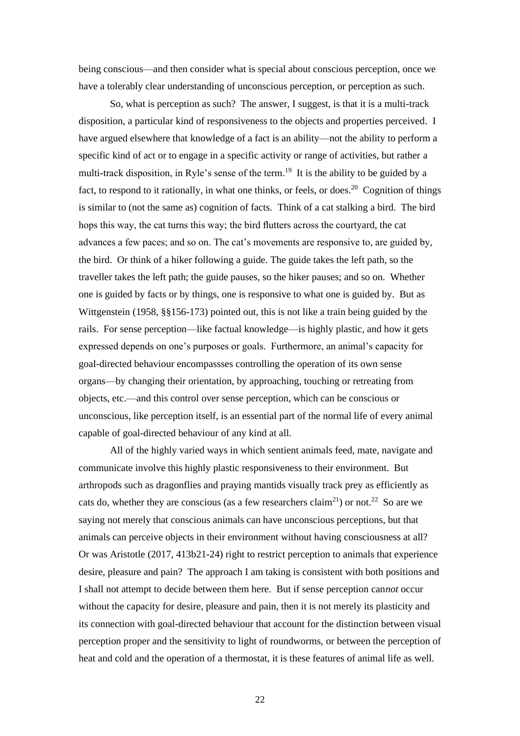being conscious—and then consider what is special about conscious perception, once we have a tolerably clear understanding of unconscious perception, or perception as such.

So, what is perception as such? The answer, I suggest, is that it is a multi-track disposition, a particular kind of responsiveness to the objects and properties perceived. I have argued elsewhere that knowledge of a fact is an ability—not the ability to perform a specific kind of act or to engage in a specific activity or range of activities, but rather a multi-track disposition, in Ryle's sense of the term.<sup>19</sup> It is the ability to be guided by a fact, to respond to it rationally, in what one thinks, or feels, or does.<sup>20</sup> Cognition of things is similar to (not the same as) cognition of facts. Think of a cat stalking a bird. The bird hops this way, the cat turns this way; the bird flutters across the courtyard, the cat advances a few paces; and so on. The cat's movements are responsive to, are guided by, the bird. Or think of a hiker following a guide. The guide takes the left path, so the traveller takes the left path; the guide pauses, so the hiker pauses; and so on. Whether one is guided by facts or by things, one is responsive to what one is guided by. But as Wittgenstein (1958, §§156-173) pointed out, this is not like a train being guided by the rails. For sense perception—like factual knowledge—is highly plastic, and how it gets expressed depends on one's purposes or goals. Furthermore, an animal's capacity for goal-directed behaviour encompassses controlling the operation of its own sense organs—by changing their orientation, by approaching, touching or retreating from objects, etc.—and this control over sense perception, which can be conscious or unconscious, like perception itself, is an essential part of the normal life of every animal capable of goal-directed behaviour of any kind at all.

All of the highly varied ways in which sentient animals feed, mate, navigate and communicate involve this highly plastic responsiveness to their environment. But arthropods such as dragonflies and praying mantids visually track prey as efficiently as cats do, whether they are conscious (as a few researchers claim<sup>21</sup>) or not.<sup>22</sup> So are we saying not merely that conscious animals can have unconscious perceptions, but that animals can perceive objects in their environment without having consciousness at all? Or was Aristotle (2017, 413b21-24) right to restrict perception to animals that experience desire, pleasure and pain? The approach I am taking is consistent with both positions and I shall not attempt to decide between them here. But if sense perception can*not* occur without the capacity for desire, pleasure and pain, then it is not merely its plasticity and its connection with goal-directed behaviour that account for the distinction between visual perception proper and the sensitivity to light of roundworms, or between the perception of heat and cold and the operation of a thermostat, it is these features of animal life as well.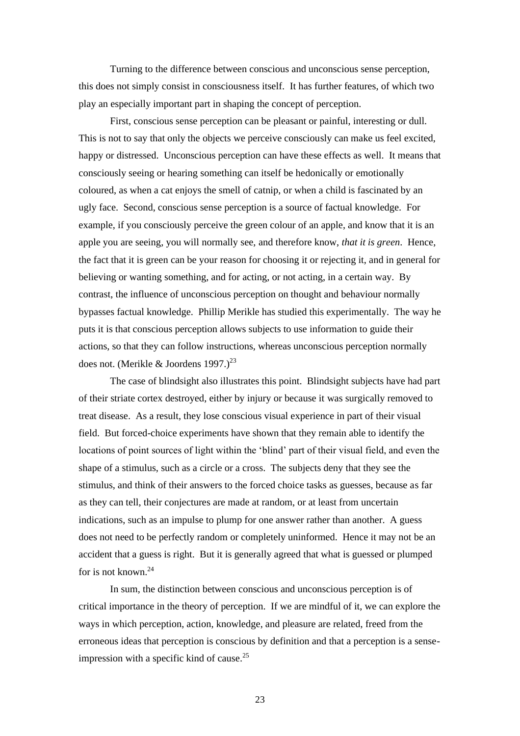Turning to the difference between conscious and unconscious sense perception, this does not simply consist in consciousness itself. It has further features, of which two play an especially important part in shaping the concept of perception.

First, conscious sense perception can be pleasant or painful, interesting or dull. This is not to say that only the objects we perceive consciously can make us feel excited, happy or distressed. Unconscious perception can have these effects as well. It means that consciously seeing or hearing something can itself be hedonically or emotionally coloured, as when a cat enjoys the smell of catnip, or when a child is fascinated by an ugly face. Second, conscious sense perception is a source of factual knowledge. For example, if you consciously perceive the green colour of an apple, and know that it is an apple you are seeing, you will normally see, and therefore know, *that it is green*. Hence, the fact that it is green can be your reason for choosing it or rejecting it, and in general for believing or wanting something, and for acting, or not acting, in a certain way. By contrast, the influence of unconscious perception on thought and behaviour normally bypasses factual knowledge. Phillip Merikle has studied this experimentally. The way he puts it is that conscious perception allows subjects to use information to guide their actions, so that they can follow instructions, whereas unconscious perception normally does not. (Merikle & Joordens 1997.)<sup>23</sup>

The case of blindsight also illustrates this point. Blindsight subjects have had part of their striate cortex destroyed, either by injury or because it was surgically removed to treat disease. As a result, they lose conscious visual experience in part of their visual field. But forced-choice experiments have shown that they remain able to identify the locations of point sources of light within the 'blind' part of their visual field, and even the shape of a stimulus, such as a circle or a cross. The subjects deny that they see the stimulus, and think of their answers to the forced choice tasks as guesses, because as far as they can tell, their conjectures are made at random, or at least from uncertain indications, such as an impulse to plump for one answer rather than another. A guess does not need to be perfectly random or completely uninformed. Hence it may not be an accident that a guess is right. But it is generally agreed that what is guessed or plumped for is not known. $24$ 

In sum, the distinction between conscious and unconscious perception is of critical importance in the theory of perception. If we are mindful of it, we can explore the ways in which perception, action, knowledge, and pleasure are related, freed from the erroneous ideas that perception is conscious by definition and that a perception is a senseimpression with a specific kind of cause.<sup>25</sup>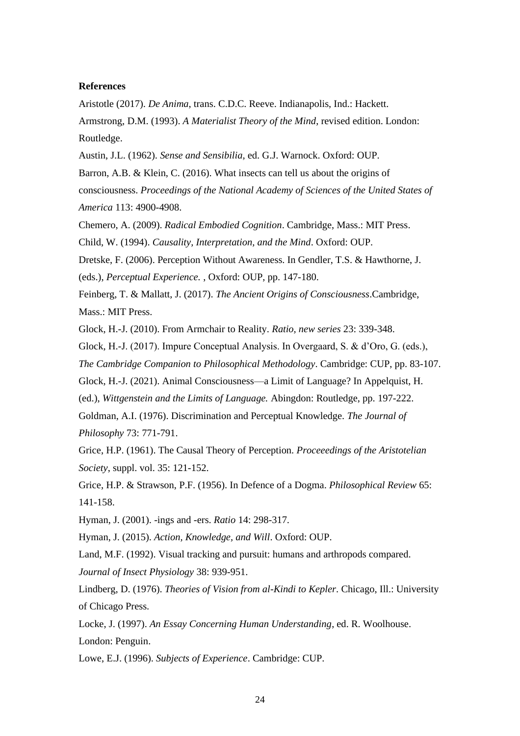# **References**

Aristotle (2017). *De Anima*, trans. C.D.C. Reeve. Indianapolis, Ind.: Hackett.

Armstrong, D.M. (1993). *A Materialist Theory of the Mind*, revised edition. London: Routledge.

Austin, J.L. (1962). *Sense and Sensibilia*, ed. G.J. Warnock. Oxford: OUP.

Barron, A.B. & Klein, C. (2016). What insects can tell us about the origins of

consciousness. *Proceedings of the National Academy of Sciences of the United States of America* 113: 4900-4908.

Chemero, A. (2009). *Radical Embodied Cognition*. Cambridge, Mass.: MIT Press.

Child, W. (1994). *Causality, Interpretation, and the Mind*. Oxford: OUP.

Dretske, F. (2006). Perception Without Awareness. In Gendler, T.S. & Hawthorne, J.

(eds.), *Perceptual Experience.* , Oxford: OUP, pp. 147-180.

Feinberg, T. & Mallatt, J. (2017). *The Ancient Origins of Consciousness*.Cambridge, Mass.: MIT Press.

Glock, H.-J. (2010). From Armchair to Reality. *Ratio, new series* 23: 339-348.

Glock, H.-J. (2017). Impure Conceptual Analysis. In Overgaard, S. & d'Oro, G. (eds.),

*The Cambridge Companion to Philosophical Methodology*. Cambridge: CUP, pp. 83-107.

Glock, H.-J. (2021). Animal Consciousness—a Limit of Language? In Appelquist, H.

(ed.), *Wittgenstein and the Limits of Language.* Abingdon: Routledge, pp. 197-222.

Goldman, A.I. (1976). Discrimination and Perceptual Knowledge. *The Journal of Philosophy* 73: 771-791.

Grice, H.P. (1961). The Causal Theory of Perception. *Proceeedings of the Aristotelian Society*, suppl. vol. 35: 121-152.

Grice, H.P. & Strawson, P.F. (1956). In Defence of a Dogma. *Philosophical Review* 65: 141-158.

Hyman, J. (2001). -ings and -ers. *Ratio* 14: 298-317.

Hyman, J. (2015). *Action, Knowledge, and Will*. Oxford: OUP.

Land, M.F. (1992). Visual tracking and pursuit: humans and arthropods compared.

*Journal of Insect Physiology* 38: 939-951.

Lindberg, D. (1976). *Theories of Vision from al-Kindi to Kepler*. Chicago, Ill.: University of Chicago Press.

Locke, J. (1997). *An Essay Concerning Human Understanding*, ed. R. Woolhouse. London: Penguin.

Lowe, E.J. (1996). *Subjects of Experience*. Cambridge: CUP.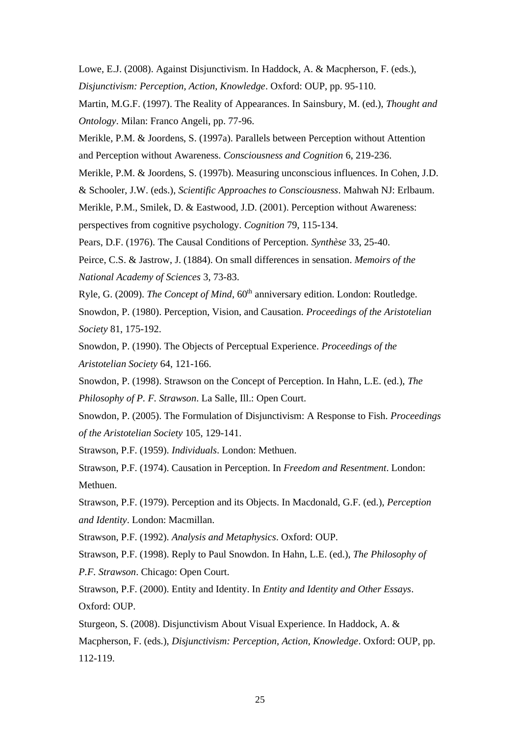Lowe, E.J. (2008). Against Disjunctivism. In Haddock, A. & Macpherson, F. (eds.),

*Disjunctivism: Perception, Action, Knowledge*. Oxford: OUP, pp. 95-110.

Martin, M.G.F. (1997). The Reality of Appearances. In Sainsbury, M. (ed.), *Thought and Ontology*. Milan: Franco Angeli, pp. 77-96.

Merikle, P.M. & Joordens, S. (1997a). Parallels between Perception without Attention and Perception without Awareness. *Consciousness and Cognition* 6, 219-236.

Merikle, P.M. & Joordens, S. (1997b). Measuring unconscious influences. In Cohen, J.D.

& Schooler, J.W. (eds.), *Scientific Approaches to Consciousness*. Mahwah NJ: Erlbaum.

Merikle, P.M., Smilek, D. & Eastwood, J.D. (2001). Perception without Awareness: perspectives from cognitive psychology. *Cognition* 79, 115-134.

Pears, D.F. (1976). The Causal Conditions of Perception. *Synthèse* 33, 25-40.

Peirce, C.S. & Jastrow, J. (1884). On small differences in sensation. *Memoirs of the National Academy of Sciences* 3, 73-83.

Ryle, G. (2009). *The Concept of Mind*, 60<sup>th</sup> anniversary edition. London: Routledge.

Snowdon, P. (1980). Perception, Vision, and Causation. *Proceedings of the Aristotelian Society* 81, 175-192.

Snowdon, P. (1990). The Objects of Perceptual Experience. *Proceedings of the Aristotelian Society* 64, 121-166.

Snowdon, P. (1998). Strawson on the Concept of Perception. In Hahn, L.E. (ed.), *The Philosophy of P. F. Strawson*. La Salle, Ill.: Open Court.

Snowdon, P. (2005). The Formulation of Disjunctivism: A Response to Fish. *Proceedings of the Aristotelian Society* 105, 129-141.

Strawson, P.F. (1959). *Individuals*. London: Methuen.

Strawson, P.F. (1974). Causation in Perception. In *Freedom and Resentment*. London: Methuen.

Strawson, P.F. (1979). Perception and its Objects. In Macdonald, G.F. (ed.), *Perception and Identity*. London: Macmillan.

Strawson, P.F. (1992). *Analysis and Metaphysics*. Oxford: OUP.

Strawson, P.F. (1998). Reply to Paul Snowdon. In Hahn, L.E. (ed.), *The Philosophy of P.F. Strawson*. Chicago: Open Court.

Strawson, P.F. (2000). Entity and Identity. In *Entity and Identity and Other Essays*. Oxford: OUP.

Sturgeon, S. (2008). Disjunctivism About Visual Experience. In Haddock, A. & Macpherson, F. (eds.), *Disjunctivism: Perception, Action, Knowledge*. Oxford: OUP, pp. 112-119.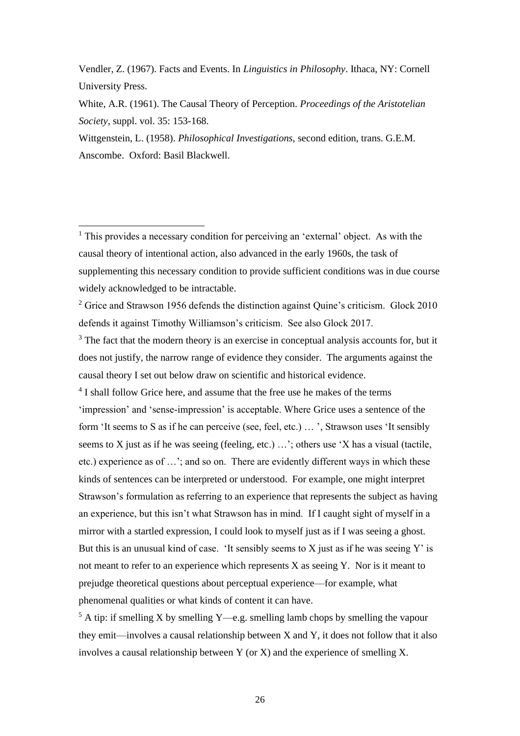Vendler, Z. (1967). Facts and Events. In *Linguistics in Philosophy*. Ithaca, NY: Cornell University Press.

White, A.R. (1961). The Causal Theory of Perception. *Proceedings of the Aristotelian Society*, suppl. vol. 35: 153-168.

Wittgenstein, L. (1958). *Philosophical Investigations*, second edition, trans. G.E.M. Anscombe. Oxford: Basil Blackwell.

 $<sup>1</sup>$  This provides a necessary condition for perceiving an 'external' object. As with the</sup> causal theory of intentional action, also advanced in the early 1960s, the task of supplementing this necessary condition to provide sufficient conditions was in due course widely acknowledged to be intractable.

 $2$  Grice and Strawson 1956 defends the distinction against Quine's criticism. Glock 2010 defends it against Timothy Williamson's criticism. See also Glock 2017.

 $3$  The fact that the modern theory is an exercise in conceptual analysis accounts for, but it does not justify, the narrow range of evidence they consider. The arguments against the causal theory I set out below draw on scientific and historical evidence.

<sup>4</sup> I shall follow Grice here, and assume that the free use he makes of the terms 'impression' and 'sense-impression' is acceptable. Where Grice uses a sentence of the form 'It seems to S as if he can perceive (see, feel, etc.) … ', Strawson uses 'It sensibly seems to X just as if he was seeing (feeling, etc.) …'; others use 'X has a visual (tactile, etc.) experience as of …'; and so on. There are evidently different ways in which these kinds of sentences can be interpreted or understood. For example, one might interpret Strawson's formulation as referring to an experience that represents the subject as having an experience, but this isn't what Strawson has in mind. If I caught sight of myself in a mirror with a startled expression, I could look to myself just as if I was seeing a ghost. But this is an unusual kind of case. 'It sensibly seems to  $X$  just as if he was seeing  $Y'$  is not meant to refer to an experience which represents X as seeing Y. Nor is it meant to prejudge theoretical questions about perceptual experience—for example, what phenomenal qualities or what kinds of content it can have.

 $5$  A tip: if smelling X by smelling Y—e.g. smelling lamb chops by smelling the vapour they emit—involves a causal relationship between X and Y, it does not follow that it also involves a causal relationship between Y (or X) and the experience of smelling X.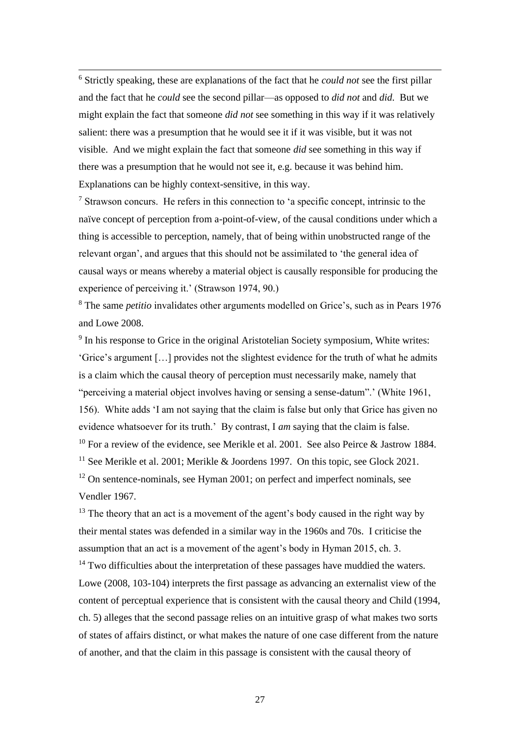<sup>6</sup> Strictly speaking, these are explanations of the fact that he *could not* see the first pillar and the fact that he *could* see the second pillar—as opposed to *did not* and *did*. But we might explain the fact that someone *did not* see something in this way if it was relatively salient: there was a presumption that he would see it if it was visible, but it was not visible. And we might explain the fact that someone *did* see something in this way if there was a presumption that he would not see it, e.g. because it was behind him. Explanations can be highly context-sensitive, in this way.

 $<sup>7</sup>$  Strawson concurs. He refers in this connection to 'a specific concept, intrinsic to the</sup> naïve concept of perception from a-point-of-view, of the causal conditions under which a thing is accessible to perception, namely, that of being within unobstructed range of the relevant organ', and argues that this should not be assimilated to 'the general idea of causal ways or means whereby a material object is causally responsible for producing the experience of perceiving it.' (Strawson 1974, 90.)

<sup>8</sup> The same *petitio* invalidates other arguments modelled on Grice's, such as in Pears 1976 and Lowe 2008.

<sup>9</sup> In his response to Grice in the original Aristotelian Society symposium, White writes: 'Grice's argument […] provides not the slightest evidence for the truth of what he admits is a claim which the causal theory of perception must necessarily make, namely that "perceiving a material object involves having or sensing a sense-datum".' (White 1961, 156). White adds 'I am not saying that the claim is false but only that Grice has given no evidence whatsoever for its truth.' By contrast, I *am* saying that the claim is false. <sup>10</sup> For a review of the evidence, see Merikle et al. 2001. See also Peirce & Jastrow 1884. <sup>11</sup> See Merikle et al. 2001; Merikle & Joordens 1997. On this topic, see Glock 2021.  $12$  On sentence-nominals, see Hyman 2001; on perfect and imperfect nominals, see Vendler 1967.

 $13$  The theory that an act is a movement of the agent's body caused in the right way by their mental states was defended in a similar way in the 1960s and 70s. I criticise the assumption that an act is a movement of the agent's body in Hyman 2015, ch. 3.  $14$  Two difficulties about the interpretation of these passages have muddied the waters. Lowe (2008, 103-104) interprets the first passage as advancing an externalist view of the content of perceptual experience that is consistent with the causal theory and Child (1994, ch. 5) alleges that the second passage relies on an intuitive grasp of what makes two sorts of states of affairs distinct, or what makes the nature of one case different from the nature of another, and that the claim in this passage is consistent with the causal theory of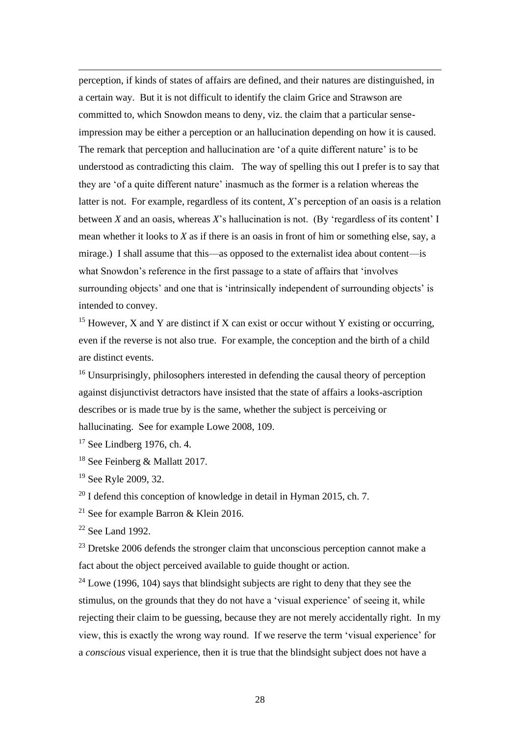perception, if kinds of states of affairs are defined, and their natures are distinguished, in a certain way. But it is not difficult to identify the claim Grice and Strawson are committed to, which Snowdon means to deny, viz. the claim that a particular senseimpression may be either a perception or an hallucination depending on how it is caused. The remark that perception and hallucination are 'of a quite different nature' is to be understood as contradicting this claim. The way of spelling this out I prefer is to say that they are 'of a quite different nature' inasmuch as the former is a relation whereas the latter is not. For example, regardless of its content, *X*'s perception of an oasis is a relation between *X* and an oasis, whereas *X*'s hallucination is not. (By 'regardless of its content' I mean whether it looks to *X* as if there is an oasis in front of him or something else, say, a mirage.) I shall assume that this—as opposed to the externalist idea about content—is what Snowdon's reference in the first passage to a state of affairs that 'involves surrounding objects' and one that is 'intrinsically independent of surrounding objects' is intended to convey.

<sup>15</sup> However, X and Y are distinct if X can exist or occur without Y existing or occurring, even if the reverse is not also true. For example, the conception and the birth of a child are distinct events.

<sup>16</sup> Unsurprisingly, philosophers interested in defending the causal theory of perception against disjunctivist detractors have insisted that the state of affairs a looks-ascription describes or is made true by is the same, whether the subject is perceiving or hallucinating. See for example Lowe 2008, 109.

 $17$  See Lindberg 1976, ch. 4.

<sup>18</sup> See Feinberg & Mallatt 2017.

<sup>19</sup> See Ryle 2009, 32.

<sup>20</sup> I defend this conception of knowledge in detail in Hyman 2015, ch. 7.

<sup>21</sup> See for example Barron & Klein 2016.

 $22$  See Land 1992.

<sup>23</sup> Dretske 2006 defends the stronger claim that unconscious perception cannot make a fact about the object perceived available to guide thought or action.

 $24$  Lowe (1996, 104) says that blindsight subjects are right to deny that they see the stimulus, on the grounds that they do not have a 'visual experience' of seeing it, while rejecting their claim to be guessing, because they are not merely accidentally right. In my view, this is exactly the wrong way round. If we reserve the term 'visual experience' for a *conscious* visual experience, then it is true that the blindsight subject does not have a